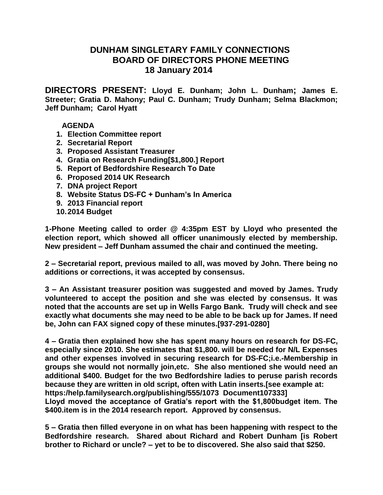## **DUNHAM SINGLETARY FAMILY CONNECTIONS BOARD OF DIRECTORS PHONE MEETING 18 January 2014**

**DIRECTORS PRESENT: Lloyd E. Dunham; John L. Dunham; James E. Streeter; Gratia D. Mahony; Paul C. Dunham; Trudy Dunham; Selma Blackmon; Jeff Dunham; Carol Hyatt**

## **AGENDA**

- **1. Election Committee report**
- **2. Secretarial Report**
- **3. Proposed Assistant Treasurer**
- **4. Gratia on Research Funding[\$1,800.] Report**
- **5. Report of Bedfordshire Research To Date**
- **6. Proposed 2014 UK Research**
- **7. DNA project Report**
- **8. Website Status DS-FC + Dunham's In America**
- **9. 2013 Financial report**
- **10.2014 Budget**

**1-Phone Meeting called to order @ 4:35pm EST by Lloyd who presented the election report, which showed all officer unanimously elected by membership. New president – Jeff Dunham assumed the chair and continued the meeting.**

**2 – Secretarial report, previous mailed to all, was moved by John. There being no additions or corrections, it was accepted by consensus.**

**3 – An Assistant treasurer position was suggested and moved by James. Trudy volunteered to accept the position and she was elected by consensus. It was noted that the accounts are set up in Wells Fargo Bank. Trudy will check and see exactly what documents she may need to be able to be back up for James. If need be, John can FAX signed copy of these minutes.[937-291-0280]**

**4 – Gratia then explained how she has spent many hours on research for DS-FC, especially since 2010. She estimates that \$1,800. will be needed for N/L Expenses and other expenses involved in securing research for DS-FC;i.e.-Membership in groups she would not normally join,etc. She also mentioned she would need an additional \$400. Budget for the two Bedfordshire ladies to peruse parish records because they are written in old script, often with Latin inserts.[see example at: https:/help.familysearch.org/publishing/555/1073 Document107333] Lloyd moved the acceptance of Gratia's report with the \$1,800budget item. The \$400.item is in the 2014 research report. Approved by consensus.**

**5 – Gratia then filled everyone in on what has been happening with respect to the Bedfordshire research. Shared about Richard and Robert Dunham [is Robert brother to Richard or uncle? – yet to be to discovered. She also said that \$250.**